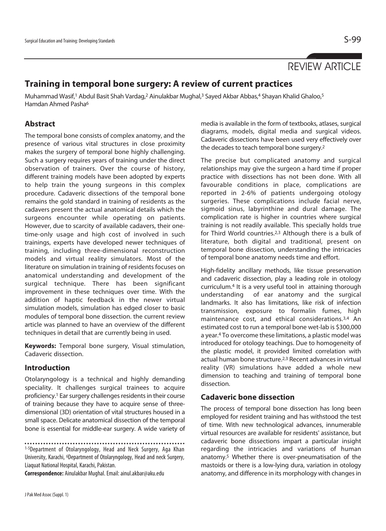# REVIEW ARTICLE

# **Training in temporal bone surgery: A review of current practices**

Muhammad Wasif,<sup>1</sup> Abdul Basit Shah Vardag,<sup>2</sup> Ainulakbar Mughal,<sup>3</sup> Sayed Akbar Abbas,<sup>4</sup> Shayan Khalid Ghaloo,<sup>5</sup> Hamdan Ahmed Pasha6

# **Abstract**

The temporal bone consists of complex anatomy, and the presence of various vital structures in close proximity makes the surgery of temporal bone highly challenging. Such a surgery requires years of training under the direct observation of trainers. Over the course of history, different training models have been adopted by experts to help train the young surgeons in this complex procedure. Cadaveric dissections of the temporal bone remains the gold standard in training of residents as the cadavers present the actual anatomical details which the surgeons encounter while operating on patients. However, due to scarcity of available cadavers, their onetime-only usage and high cost of involved in such trainings, experts have developed newer techniques of training, including three-dimensional reconstruction models and virtual reality simulators. Most of the literature on simulation in training of residents focuses on anatomical understanding and development of the surgical technique. There has been significant improvement in these techniques over time. With the addition of haptic feedback in the newer virtual simulation models, simulation has edged closer to basic modules of temporal bone dissection. the current review article was planned to have an overview of the different techniques in detail that are currently being in used.

**Keywords:** Temporal bone surgery, Visual stimulation, Cadaveric dissection.

### **Introduction**

Otolaryngology is a technical and highly demanding speciality. It challenges surgical trainees to acquire proficiency.1 Ear surgery challenges residents in their course of training because they have to acquire sense of threedimensional (3D) orientation of vital structures housed in a small space. Delicate anatomical dissection of the temporal bone is essential for middle-ear surgery. A wide variety of

1-5Department of Otolaryngology, Head and Neck Surgery, Aga Khan University, Karachi, 6Department of Otolaryngology, Head and neck Surgery, Liaquat National Hospital, Karachi, Pakistan.

**Correspondence:** Ainulakbar Mughal. Email: ainul.akbar@aku.edu

media is available in the form of textbooks, atlases, surgical diagrams, models, digital media and surgical videos. Cadaveric dissections have been used very effectively over the decades to teach temporal bone surgery.2

The precise but complicated anatomy and surgical relationships may give the surgeon a hard time if proper practice with dissections has not been done. With all favourable conditions in place, complications are reported in 2-6% of patients undergoing otology surgeries. These complications include facial nerve, sigmoid sinus, labyrinthine and dural damage. The complication rate is higher in countries where surgical training is not readily available. This specially holds true for Third World countries.2,3 Although there is a bulk of literature, both digital and traditional, present on temporal bone dissection, understanding the intricacies of temporal bone anatomy needs time and effort.

High-fidelity ancillary methods, like tissue preservation and cadaveric dissection, play a leading role in otology curriculum.4 It is a very useful tool in attaining thorough understanding of ear anatomy and the surgical landmarks. It also has limitations, like risk of infection transmission, exposure to formalin fumes, high maintenance cost, and ethical considerations.3,4 An estimated cost to run a temporal bone wet-lab is \$300,000 a year.4 To overcome these limitations, a plastic model was introduced for otology teachings. Due to homogeneity of the plastic model, it provided limited correlation with actual human bone structure.2,3 Recent advances in virtual reality (VR) simulations have added a whole new dimension to teaching and training of temporal bone dissection.

### **Cadaveric bone dissection**

The process of temporal bone dissection has long been employed for resident training and has withstood the test of time. With new technological advances, innumerable virtual resources are available for residents' assistance, but cadaveric bone dissections impart a particular insight regarding the intricacies and variations of human anatomy.5 Whether there is over-pneumatisation of the mastoids or there is a low-lying dura, variation in otology anatomy, and difference in its morphology with changes in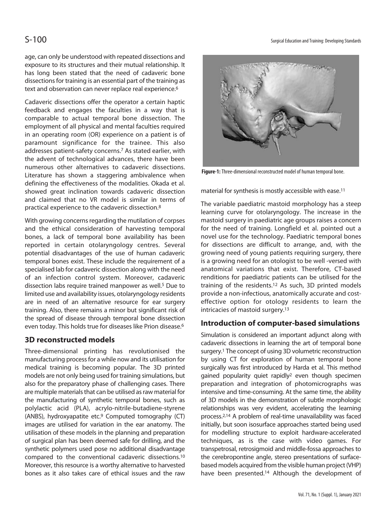age, can only be understood with repeated dissections and exposure to its structures and their mutual relationship. It has long been stated that the need of cadaveric bone dissections for training is an essential part of the training as text and observation can never replace real experience.<sup>6</sup>

Cadaveric dissections offer the operator a certain haptic feedback and engages the faculties in a way that is comparable to actual temporal bone dissection. The employment of all physical and mental faculties required in an operating room (OR) experience on a patient is of paramount significance for the trainee. This also addresses patient-safety concerns.7 As stated earlier, with the advent of technological advances, there have been numerous other alternatives to cadaveric dissections. Literature has shown a staggering ambivalence when defining the effectiveness of the modalities. Okada et al. showed great inclination towards cadaveric dissection and claimed that no VR model is similar in terms of practical experience to the cadaveric dissection.8

With growing concerns regarding the mutilation of corpses and the ethical consideration of harvesting temporal bones, a lack of temporal bone availability has been reported in certain otolaryngology centres. Several potential disadvantages of the use of human cadaveric temporal bones exist. These include the requirement of a specialised lab for cadaveric dissection along with the need of an infection control system. Moreover, cadaveric dissection labs require trained manpower as well.<sup>5</sup> Due to limited use and availability issues, otolaryngology residents are in need of an alternative resource for ear surgery training. Also, there remains a minor but significant risk of the spread of disease through temporal bone dissection even today. This holds true for diseases like Prion disease.6

### **3D reconstructed models**

Three-dimensional printing has revolutionised the manufacturing process for a while now and its utilisation for medical training is becoming popular. The 3D printed models are not only being used for training simulations, but also for the preparatory phase of challenging cases. There are multiple materials that can be utilised as raw material for the manufacturing of synthetic temporal bones, such as polylactic acid (PLA), acrylo-nitrile-butadiene-styrene (ANBS), hydroxyapatite etc.9 Computed tomography (CT) images are utilised for variation in the ear anatomy. The utilisation of these models in the planning and preparation of surgical plan has been deemed safe for drilling, and the synthetic polymers used pose no additional disadvantage compared to the conventional cadaveric dissections.10 Moreover, this resource is a worthy alternative to harvested bones as it also takes care of ethical issues and the raw





**Figure-1:** Three-dimensional reconstructed model of human temporal bone.

material for synthesis is mostly accessible with ease.11

The variable paediatric mastoid morphology has a steep learning curve for otolaryngology. The increase in the mastoid surgery in paediatric age groups raises a concern for the need of training. Longfield et al. pointed out a novel use for the technology. Paediatric temporal bones for dissections are difficult to arrange, and, with the growing need of young patients requiring surgery, there is a growing need for an otologist to be well -versed with anatomical variations that exist. Therefore, CT-based renditions for paediatric patients can be utilised for the training of the residents.12 As such, 3D printed models provide a non-infectious, anatomically accurate and costeffective option for otology residents to learn the intricacies of mastoid surgery.13

### **Introduction of computer-based simulations**

Simulation is considered an important adjunct along with cadaveric dissections in learning the art of temporal bone surgery.1 The concept of using 3D volumetric reconstruction by using CT for exploration of human temporal bone surgically was first introduced by Harda et al. This method gained popularity quiet rapidly2 even though specimen preparation and integration of photomicrographs was intensive and time-consuming. At the same time, the ability of 3D models in the demonstration of subtle morphologic relationships was very evident, accelerating the learning process.2,14 A problem of real-time unavailability was faced initially, but soon isosurface approaches started being used for modelling structure to exploit hardware-accelerated techniques, as is the case with video games. For transpetrosal, retrosigmoid and middle-fossa approaches to the cerebropontine angle, stereo presentations of surfacebased models acquired from the visible human project (VHP) have been presented.<sup>14</sup> Although the development of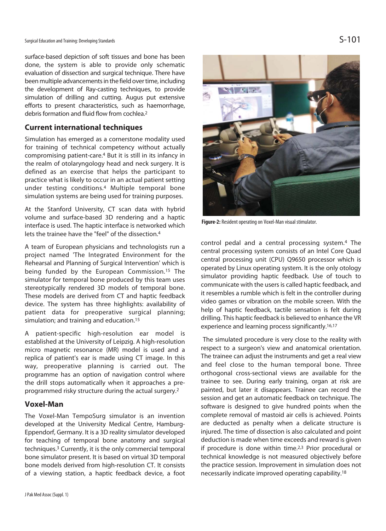Surgical Education and Training: Developing Standards  $\mathsf{S}\text{-}101$ 

surface-based depiction of soft tissues and bone has been done, the system is able to provide only schematic evaluation of dissection and surgical technique. There have been multiple advancements in the field over time, including the development of Ray-casting techniques, to provide simulation of drilling and cutting. Augus put extensive efforts to present characteristics, such as haemorrhage, debris formation and fluid flow from cochlea.2

# **Current international techniques**

Simulation has emerged as a cornerstone modality used for training of technical competency without actually compromising patient-care.4 But it is still in its infancy in the realm of otolaryngology head and neck surgery. It is defined as an exercise that helps the participant to practice what is likely to occur in an actual patient setting under testing conditions.4 Multiple temporal bone simulation systems are being used for training purposes.

At the Stanford University, CT scan data with hybrid volume and surface-based 3D rendering and a haptic interface is used. The haptic interface is networked which lets the trainee have the "feel" of the dissection.4

A team of European physicians and technologists run a project named 'The Integrated Environment for the Rehearsal and Planning of Surgical Intervention' which is being funded by the European Commission.<sup>15</sup> The simulator for temporal bone produced by this team uses stereotypically rendered 3D models of temporal bone. These models are derived from CT and haptic feedback device. The system has three highlights: availability of patient data for preoperative surgical planning; simulation; and training and education.15

A patient-specific high-resolution ear model is established at the University of Leipzig. A high-resolution micro magnetic resonance (MR) model is used and a replica of patient's ear is made using CT image. In this way, preoperative planning is carried out. The programme has an option of navigation control where the drill stops automatically when it approaches a preprogrammed risky structure during the actual surgery.2

### **Voxel-Man**

The Voxel-Man TempoSurg simulator is an invention developed at the University Medical Centre, Hamburg-Eppendorf, Germany. It is a 3D reality simulator developed for teaching of temporal bone anatomy and surgical techniques.3 Currently, it is the only commercial temporal bone simulator present. It is based on virtual 3D temporal bone models derived from high-resolution CT. It consists of a viewing station, a haptic feedback device, a foot



**Figure-2:** Resident operating on Voxel-Man visual stimulator.

control pedal and a central processing system.4 The central processing system consists of an Intel Core Quad central processing unit (CPU) Q9650 processor which is operated by Linux operating system. It is the only otology simulator providing haptic feedback. Use of touch to communicate with the users is called haptic feedback, and it resembles a rumble which is felt in the controller during video games or vibration on the mobile screen. With the help of haptic feedback, tactile sensation is felt during drilling. This haptic feedback is believed to enhance the VR experience and learning process significantly.16,17

 The simulated procedure is very close to the reality with respect to a surgeon's view and anatomical orientation. The trainee can adjust the instruments and get a real view and feel close to the human temporal bone. Three orthogonal cross-sectional views are available for the trainee to see. During early training, organ at risk are painted, but later it disappears. Trainee can record the session and get an automatic feedback on technique. The software is designed to give hundred points when the complete removal of mastoid air cells is achieved. Points are deducted as penalty when a delicate structure is injured. The time of dissection is also calculated and point deduction is made when time exceeds and reward is given if procedure is done within time.2,3 Prior procedural or technical knowledge is not measured objectively before the practice session. Improvement in simulation does not necessarily indicate improved operating capability.18